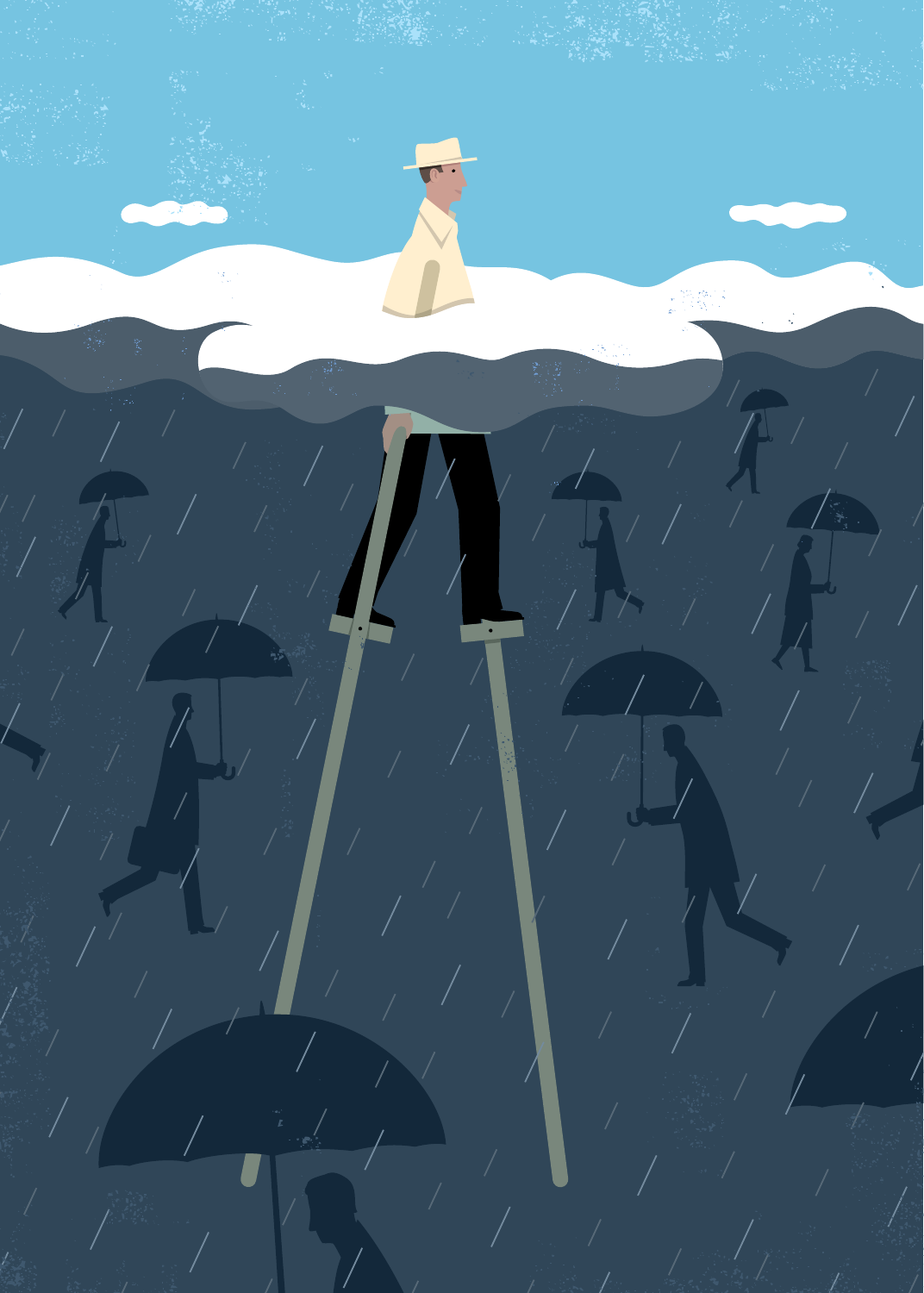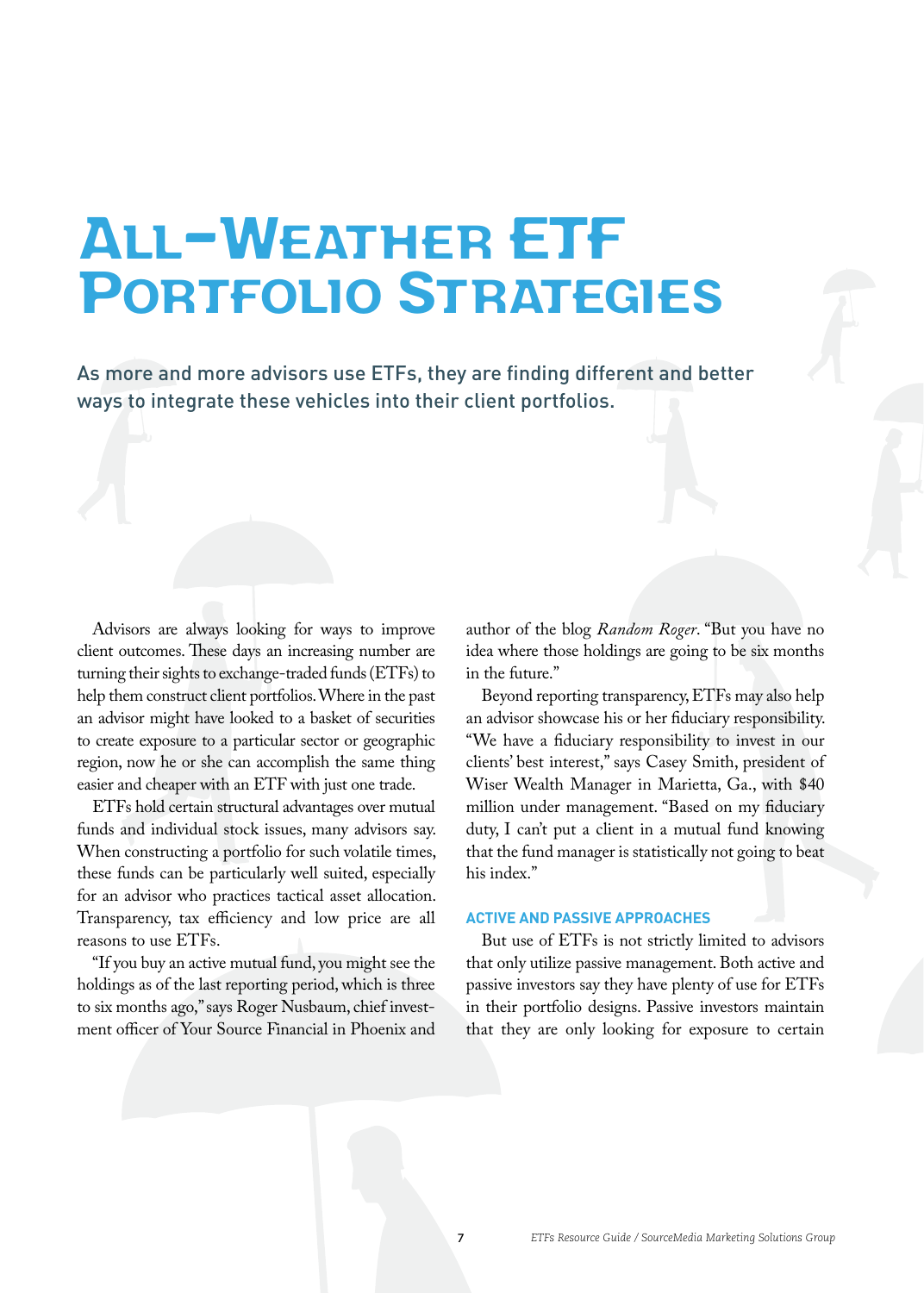# All-Weather ETF Portfolio Strategies

As more and more advisors use ETFs, they are finding different and better ways to integrate these vehicles into their client portfolios.

Advisors are always looking for ways to improve client outcomes. These days an increasing number are turning their sights to exchange-traded funds (ETFs) to help them construct client portfolios. Where in the past an advisor might have looked to a basket of securities to create exposure to a particular sector or geographic region, now he or she can accomplish the same thing easier and cheaper with an ETF with just one trade.

ETFs hold certain structural advantages over mutual funds and individual stock issues, many advisors say. When constructing a portfolio for such volatile times, these funds can be particularly well suited, especially for an advisor who practices tactical asset allocation. Transparency, tax efficiency and low price are all reasons to use ETFs.

"If you buy an active mutual fund, you might see the holdings as of the last reporting period, which is three to six months ago," says Roger Nusbaum, chief investment officer of Your Source Financial in Phoenix and author of the blog *Random Roger*. "But you have no idea where those holdings are going to be six months in the future."

Beyond reporting transparency, ETFs may also help an advisor showcase his or her fiduciary responsibility. "We have a fiduciary responsibility to invest in our clients' best interest," says Casey Smith, president of Wiser Wealth Manager in Marietta, Ga., with \$40 million under management. "Based on my fiduciary duty, I can't put a client in a mutual fund knowing that the fund manager is statistically not going to beat his index."

### **Active and Passive Approaches**

But use of ETFs is not strictly limited to advisors that only utilize passive management. Both active and passive investors say they have plenty of use for ETFs in their portfolio designs. Passive investors maintain that they are only looking for exposure to certain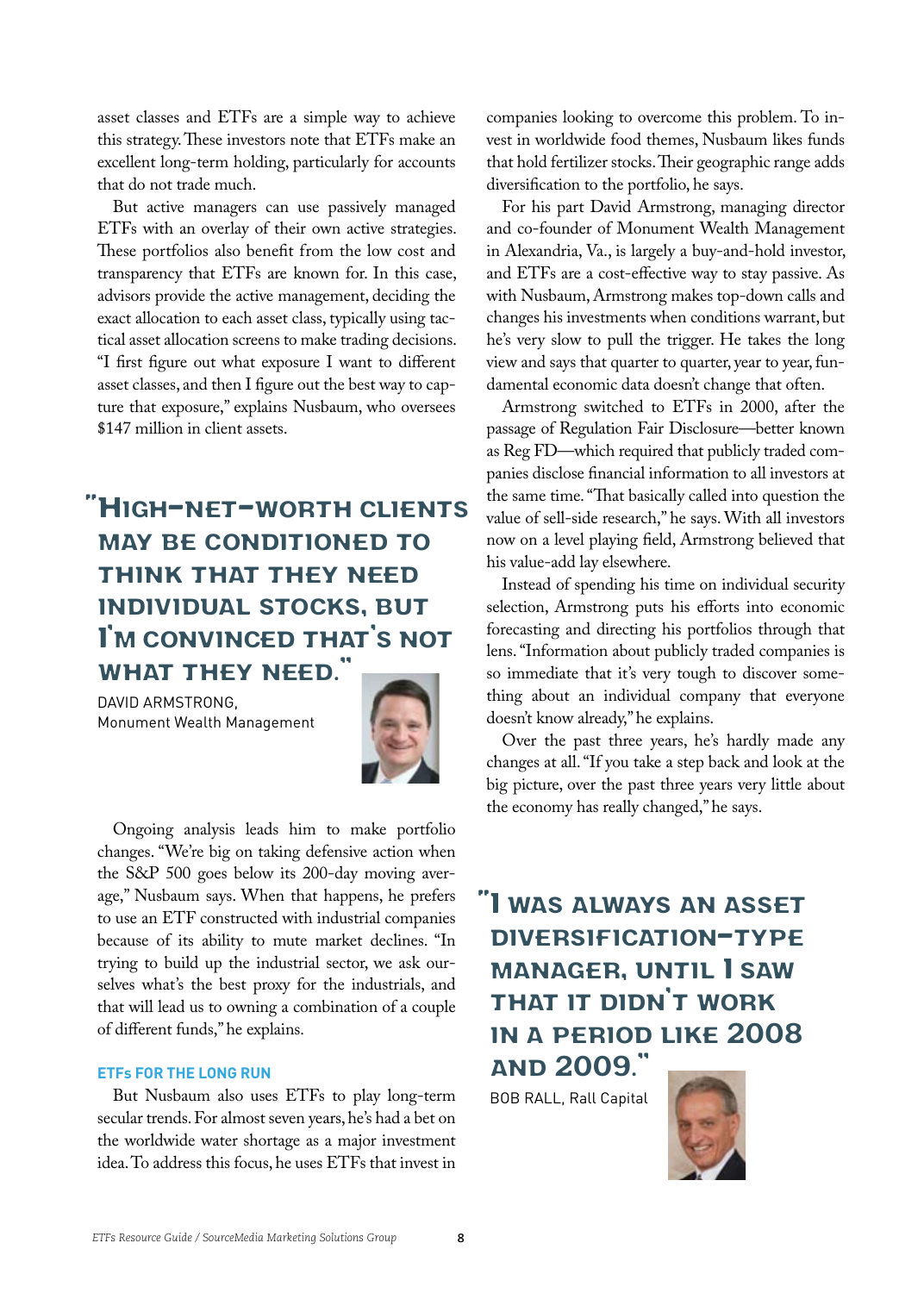asset classes and ETFs are a simple way to achieve this strategy. These investors note that ETFs make an excellent long-term holding, particularly for accounts that do not trade much.

But active managers can use passively managed ETFs with an overlay of their own active strategies. These portfolios also benefit from the low cost and transparency that ETFs are known for. In this case, advisors provide the active management, deciding the exact allocation to each asset class, typically using tactical asset allocation screens to make trading decisions. "I first figure out what exposure I want to different asset classes, and then I figure out the best way to capture that exposure," explains Nusbaum, who oversees \$147 million in client assets.

# " High-net-worth clients may be conditioned to think that they need individual stocks, but I'M CONVINCED THAT'S NOT WHAT THEY NEED."

David Armstrong, Monument Wealth Management



Ongoing analysis leads him to make portfolio changes. "We're big on taking defensive action when the S&P 500 goes below its 200-day moving average," Nusbaum says. When that happens, he prefers to use an ETF constructed with industrial companies because of its ability to mute market declines. "In trying to build up the industrial sector, we ask ourselves what's the best proxy for the industrials, and that will lead us to owning a combination of a couple of different funds," he explains.

## **ETFs for the Long Run**

But Nusbaum also uses ETFs to play long-term secular trends. For almost seven years, he's had a bet on the worldwide water shortage as a major investment idea. To address this focus, he uses ETFs that invest in

companies looking to overcome this problem. To invest in worldwide food themes, Nusbaum likes funds that hold fertilizer stocks. Their geographic range adds diversification to the portfolio, he says.

For his part David Armstrong, managing director and co-founder of Monument Wealth Management in Alexandria, Va., is largely a buy-and-hold investor, and ETFs are a cost-effective way to stay passive. As with Nusbaum, Armstrong makes top-down calls and changes his investments when conditions warrant, but he's very slow to pull the trigger. He takes the long view and says that quarter to quarter, year to year, fundamental economic data doesn't change that often.

Armstrong switched to ETFs in 2000, after the passage of Regulation Fair Disclosure—better known as Reg FD—which required that publicly traded companies disclose financial information to all investors at the same time. "That basically called into question the value of sell-side research," he says. With all investors now on a level playing field, Armstrong believed that his value-add lay elsewhere.

Instead of spending his time on individual security selection, Armstrong puts his efforts into economic forecasting and directing his portfolios through that lens. "Information about publicly traded companies is so immediate that it's very tough to discover something about an individual company that everyone doesn't know already," he explains.

Over the past three years, he's hardly made any changes at all. "If you take a step back and look at the big picture, over the past three years very little about the economy has really changed," he says.

# **TI WAS ALWAYS AN ASSET** diversif ication-type manager, until I saw that it didn't work in a period like 2008 and 2009."

Bob Rall, Rall Capital

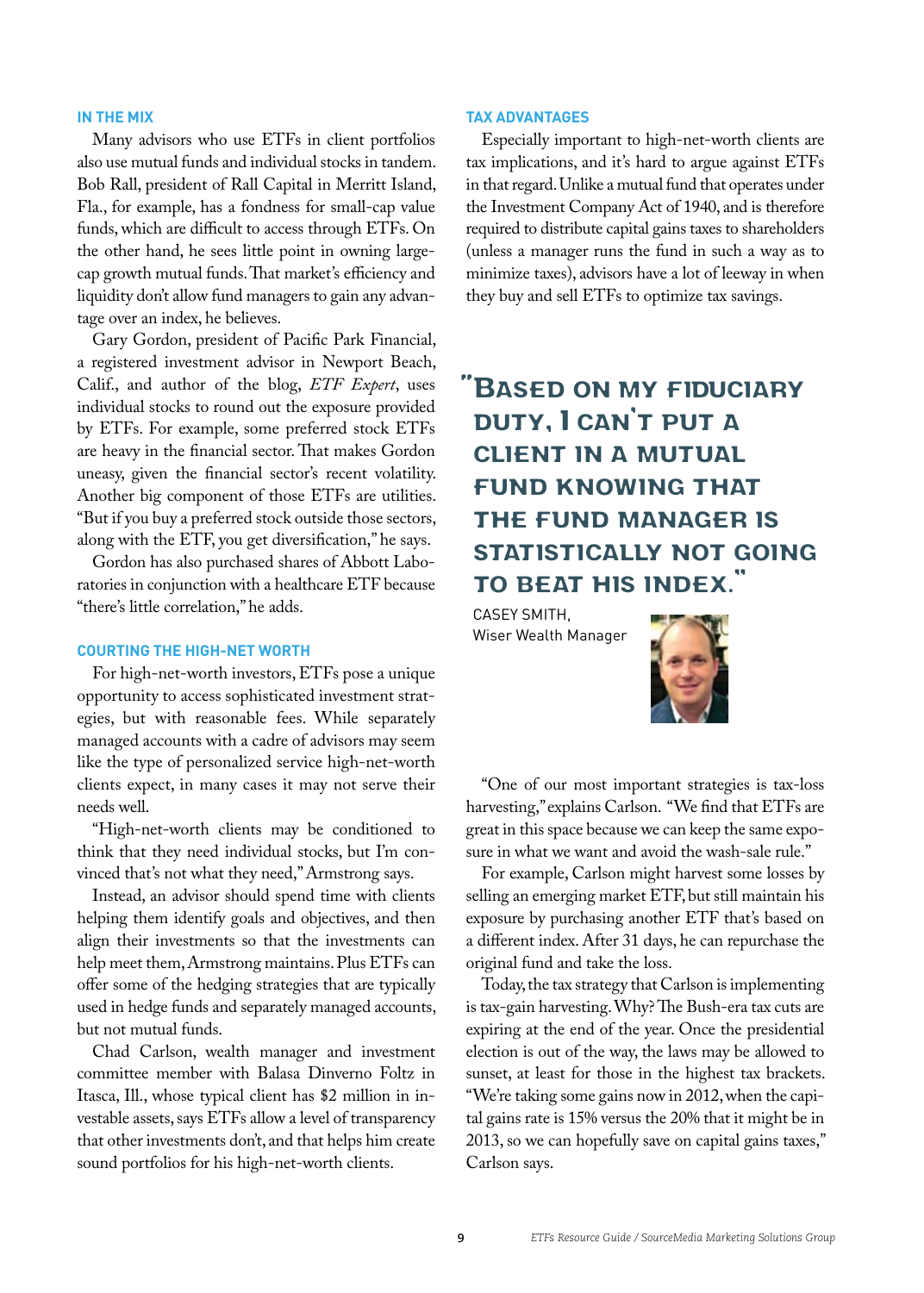#### **In the Mix**

Many advisors who use ETFs in client portfolios also use mutual funds and individual stocks in tandem. Bob Rall, president of Rall Capital in Merritt Island, Fla., for example, has a fondness for small-cap value funds, which are difficult to access through ETFs. On the other hand, he sees little point in owning largecap growth mutual funds. That market's efficiency and liquidity don't allow fund managers to gain any advantage over an index, he believes.

Gary Gordon, president of Pacific Park Financial, a registered investment advisor in Newport Beach, Calif., and author of the blog, *ETF Expert*, uses individual stocks to round out the exposure provided by ETFs. For example, some preferred stock ETFs are heavy in the financial sector. That makes Gordon uneasy, given the financial sector's recent volatility. Another big component of those ETFs are utilities. "But if you buy a preferred stock outside those sectors, along with the ETF, you get diversification," he says.

Gordon has also purchased shares of Abbott Laboratories in conjunction with a healthcare ETF because "there's little correlation," he adds.

#### **Courting the High-Net Worth**

For high-net-worth investors, ETFs pose a unique opportunity to access sophisticated investment strategies, but with reasonable fees. While separately managed accounts with a cadre of advisors may seem like the type of personalized service high-net-worth clients expect, in many cases it may not serve their needs well.

"High-net-worth clients may be conditioned to think that they need individual stocks, but I'm convinced that's not what they need," Armstrong says.

Instead, an advisor should spend time with clients helping them identify goals and objectives, and then align their investments so that the investments can help meet them, Armstrong maintains. Plus ETFs can offer some of the hedging strategies that are typically used in hedge funds and separately managed accounts, but not mutual funds.

Chad Carlson, wealth manager and investment committee member with Balasa Dinverno Foltz in Itasca, Ill., whose typical client has \$2 million in investable assets, says ETFs allow a level of transparency that other investments don't, and that helps him create sound portfolios for his high-net-worth clients.

## **Tax Advantages**

Especially important to high-net-worth clients are tax implications, and it's hard to argue against ETFs in that regard. Unlike a mutual fund that operates under the Investment Company Act of 1940, and is therefore required to distribute capital gains taxes to shareholders (unless a manager runs the fund in such a way as to minimize taxes), advisors have a lot of leeway in when they buy and sell ETFs to optimize tax savings.

# "Based on my f iduciary duty, I can't put a client in a mutual fund knowing that the fund manager is statistically not going to beat his index."

Casey Smith, Wiser Wealth Manager



"One of our most important strategies is tax-loss harvesting," explains Carlson. "We find that ETFs are great in this space because we can keep the same exposure in what we want and avoid the wash-sale rule."

For example, Carlson might harvest some losses by selling an emerging market ETF, but still maintain his exposure by purchasing another ETF that's based on a different index. After 31 days, he can repurchase the original fund and take the loss.

Today, the tax strategy that Carlson is implementing is tax-gain harvesting. Why? The Bush-era tax cuts are expiring at the end of the year. Once the presidential election is out of the way, the laws may be allowed to sunset, at least for those in the highest tax brackets. "We're taking some gains now in 2012, when the capital gains rate is 15% versus the 20% that it might be in 2013, so we can hopefully save on capital gains taxes," Carlson says.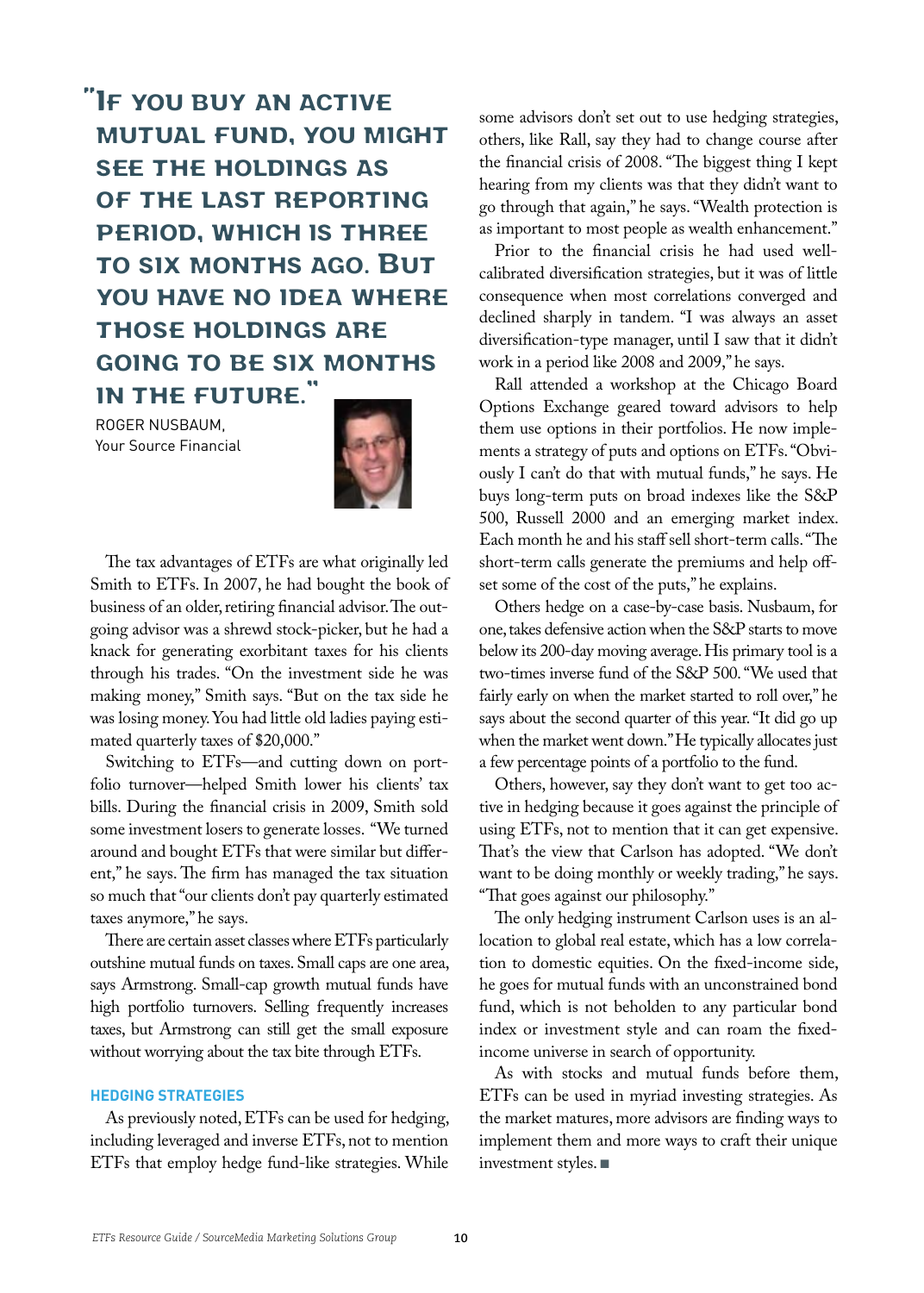" If you buy an active mutual fund, you might see the holdings as of the last reporting period, which is three to six months ago. But you have no idea where those holdings are going to be six months in the future."

Roger Nusbaum, Your Source Financial



The tax advantages of ETFs are what originally led Smith to ETFs. In 2007, he had bought the book of business of an older, retiring financial advisor. The outgoing advisor was a shrewd stock-picker, but he had a knack for generating exorbitant taxes for his clients through his trades. "On the investment side he was making money," Smith says. "But on the tax side he was losing money. You had little old ladies paying estimated quarterly taxes of \$20,000."

Switching to ETFs—and cutting down on portfolio turnover—helped Smith lower his clients' tax bills. During the financial crisis in 2009, Smith sold some investment losers to generate losses. "We turned around and bought ETFs that were similar but different," he says. The firm has managed the tax situation so much that "our clients don't pay quarterly estimated taxes anymore," he says.

There are certain asset classes where ETFs particularly outshine mutual funds on taxes. Small caps are one area, says Armstrong. Small-cap growth mutual funds have high portfolio turnovers. Selling frequently increases taxes, but Armstrong can still get the small exposure without worrying about the tax bite through ETFs.

## **Hedging Strategies**

As previously noted, ETFs can be used for hedging, including leveraged and inverse ETFs, not to mention ETFs that employ hedge fund-like strategies. While

some advisors don't set out to use hedging strategies, others, like Rall, say they had to change course after the financial crisis of 2008. "The biggest thing I kept hearing from my clients was that they didn't want to go through that again," he says. "Wealth protection is as important to most people as wealth enhancement."

Prior to the financial crisis he had used wellcalibrated diversification strategies, but it was of little consequence when most correlations converged and declined sharply in tandem. "I was always an asset diversification-type manager, until I saw that it didn't work in a period like 2008 and 2009," he says.

Rall attended a workshop at the Chicago Board Options Exchange geared toward advisors to help them use options in their portfolios. He now implements a strategy of puts and options on ETFs. "Obviously I can't do that with mutual funds," he says. He buys long-term puts on broad indexes like the S&P 500, Russell 2000 and an emerging market index. Each month he and his staff sell short-term calls. "The short-term calls generate the premiums and help offset some of the cost of the puts," he explains.

Others hedge on a case-by-case basis. Nusbaum, for one, takes defensive action when the S&P starts to move below its 200-day moving average. His primary tool is a two-times inverse fund of the S&P 500. "We used that fairly early on when the market started to roll over," he says about the second quarter of this year. "It did go up when the market went down." He typically allocates just a few percentage points of a portfolio to the fund.

Others, however, say they don't want to get too active in hedging because it goes against the principle of using ETFs, not to mention that it can get expensive. That's the view that Carlson has adopted. "We don't want to be doing monthly or weekly trading," he says. "That goes against our philosophy."

The only hedging instrument Carlson uses is an allocation to global real estate, which has a low correlation to domestic equities. On the fixed-income side, he goes for mutual funds with an unconstrained bond fund, which is not beholden to any particular bond index or investment style and can roam the fixedincome universe in search of opportunity.

As with stocks and mutual funds before them, ETFs can be used in myriad investing strategies. As the market matures, more advisors are finding ways to implement them and more ways to craft their unique investment styles. ■